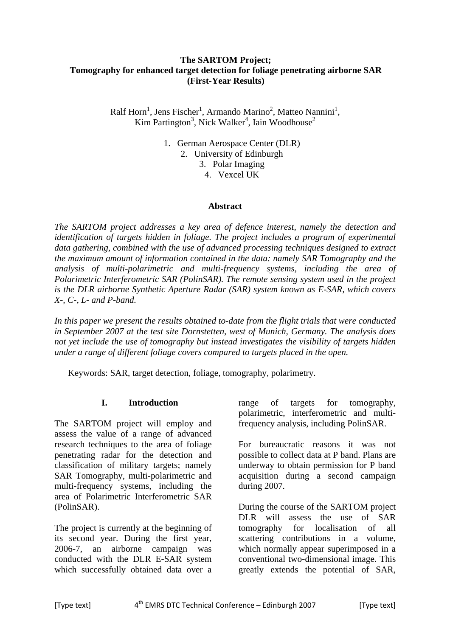### **The SARTOM Project; Tomography for enhanced target detection for foliage penetrating airborne SAR (First-Year Results)**

Ralf Horn<sup>1</sup>, Jens Fischer<sup>1</sup>, Armando Marino<sup>2</sup>, Matteo Nannini<sup>1</sup>,  $Kim$  Partington<sup>3</sup>, Nick Walker<sup>4</sup>, Iain Woodhouse<sup>2</sup>

> 1. German Aerospace Center (DLR) 2. University of Edinburgh 3. Polar Imaging 4. Vexcel UK

### **Abstract**

*The SARTOM project addresses a key area of defence interest, namely the detection and identification of targets hidden in foliage. The project includes a program of experimental data gathering, combined with the use of advanced processing techniques designed to extract the maximum amount of information contained in the data: namely SAR Tomography and the analysis of multi-polarimetric and multi-frequency systems, including the area of Polarimetric Interferometric SAR (PolinSAR). The remote sensing system used in the project is the DLR airborne Synthetic Aperture Radar (SAR) system known as E-SAR, which covers X-, C-, L- and P-band.* 

*In this paper we present the results obtained to-date from the flight trials that were conducted in September 2007 at the test site Dornstetten, west of Munich, Germany. The analysis does not yet include the use of tomography but instead investigates the visibility of targets hidden under a range of different foliage covers compared to targets placed in the open.* 

Keywords: SAR, target detection, foliage, tomography, polarimetry.

## **I. Introduction**

The SARTOM project will employ and assess the value of a range of advanced research techniques to the area of foliage penetrating radar for the detection and classification of military targets; namely SAR Tomography, multi-polarimetric and multi-frequency systems, including the area of Polarimetric Interferometric SAR (PolinSAR).

The project is currently at the beginning of its second year. During the first year, 2006-7, an airborne campaign was conducted with the DLR E-SAR system which successfully obtained data over a

range of targets for tomography, polarimetric, interferometric and multifrequency analysis, including PolinSAR.

For bureaucratic reasons it was not possible to collect data at P band. Plans are underway to obtain permission for P band acquisition during a second campaign during 2007.

During the course of the SARTOM project DLR will assess the use of SAR tomography for localisation of all scattering contributions in a volume, which normally appear superimposed in a conventional two-dimensional image. This greatly extends the potential of SAR,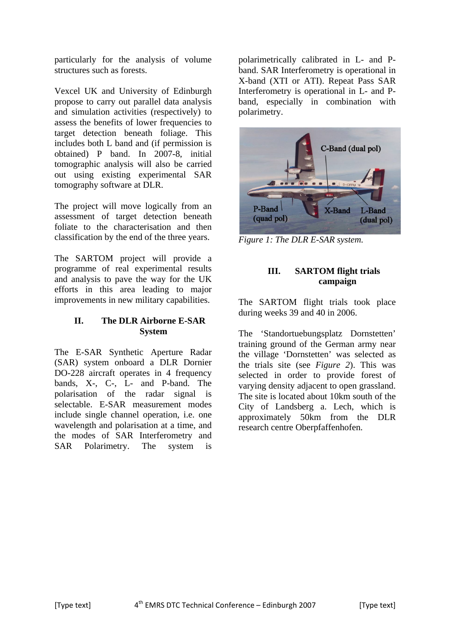particularly for the analysis of volume structures such as forests.

Vexcel UK and University of Edinburgh propose to carry out parallel data analysis and simulation activities (respectively) to assess the benefits of lower frequencies to target detection beneath foliage. This includes both L band and (if permission is obtained) P band. In 2007-8, initial tomographic analysis will also be carried out using existing experimental SAR tomography software at DLR.

The project will move logically from an assessment of target detection beneath foliate to the characterisation and then classification by the end of the three years.

The SARTOM project will provide a programme of real experimental results and analysis to pave the way for the UK efforts in this area leading to major improvements in new military capabilities.

# **II. The DLR Airborne E-SAR System**

The E-SAR Synthetic Aperture Radar (SAR) system onboard a DLR Dornier DO-228 aircraft operates in 4 frequency bands, X-, C-, L- and P-band. The polarisation of the radar signal is selectable. E-SAR measurement modes include single channel operation, i.e. one wavelength and polarisation at a time, and the modes of SAR Interferometry and SAR Polarimetry. The system is

polarimetrically calibrated in L- and Pband. SAR Interferometry is operational in X-band (XTI or ATI). Repeat Pass SAR Interferometry is operational in L- and Pband, especially in combination with polarimetry.



*Figure 1: The DLR E-SAR system.* 

# **III. SARTOM flight trials campaign**

The SARTOM flight trials took place during weeks 39 and 40 in 2006.

The 'Standortuebungsplatz Dornstetten' training ground of the German army near the village 'Dornstetten' was selected as the trials site (see *Figure 2*). This was selected in order to provide forest of varying density adjacent to open grassland. The site is located about 10km south of the City of Landsberg a. Lech, which is approximately 50km from the DLR research centre Oberpfaffenhofen.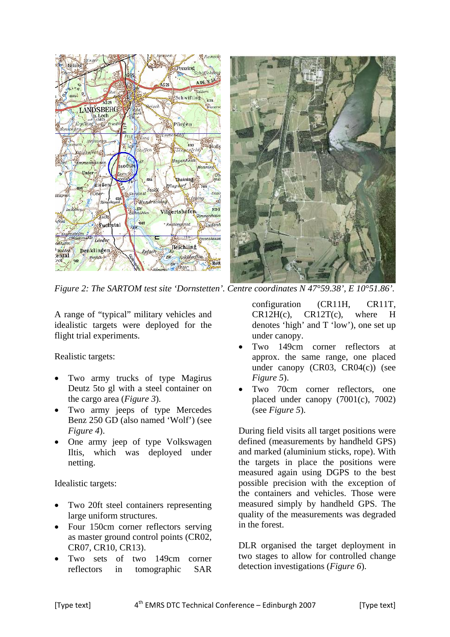

*Figure 2: The SARTOM test site 'Dornstetten'. Centre coordinates N 47°59.38', E 10°51.86'.*

A range of "typical" military vehicles and idealistic targets were deployed for the flight trial experiments.

Realistic targets:

- Two army trucks of type Magirus Deutz 5to gl with a steel container on the cargo area (*Figure 3*).
- Two army jeeps of type Mercedes Benz 250 GD (also named 'Wolf') (see *Figure 4*).
- One army jeep of type Volkswagen Iltis, which was deployed under netting.

Idealistic targets:

- Two 20ft steel containers representing large uniform structures.
- Four 150cm corner reflectors serving as master ground control points (CR02, CR07, CR10, CR13).
- Two sets of two 149cm corner reflectors in tomographic SAR

configuration (CR11H, CR11T, CR12H(c), CR12T(c), where H denotes 'high' and T 'low'), one set up under canopy.

- Two 149cm corner reflectors at approx. the same range, one placed under canopy (CR03, CR04(c)) (see *Figure 5*).
- Two 70cm corner reflectors, one placed under canopy (7001(c), 7002) (see *Figure 5*).

During field visits all target positions were defined (measurements by handheld GPS) and marked (aluminium sticks, rope). With the targets in place the positions were measured again using DGPS to the best possible precision with the exception of the containers and vehicles. Those were measured simply by handheld GPS. The quality of the measurements was degraded in the forest.

DLR organised the target deployment in two stages to allow for controlled change detection investigations (*Figure 6*).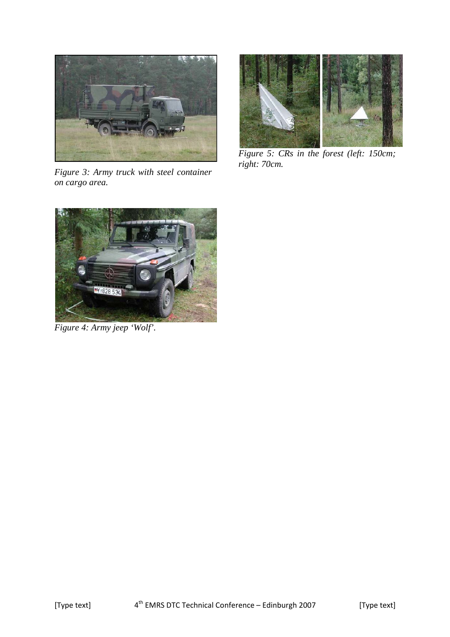

*Figure 3: Army truck with steel container on cargo area.* 



*Figure 5: CRs in the forest (left: 150cm; right: 70cm.* 



*Figure 4: Army jeep 'Wolf'.*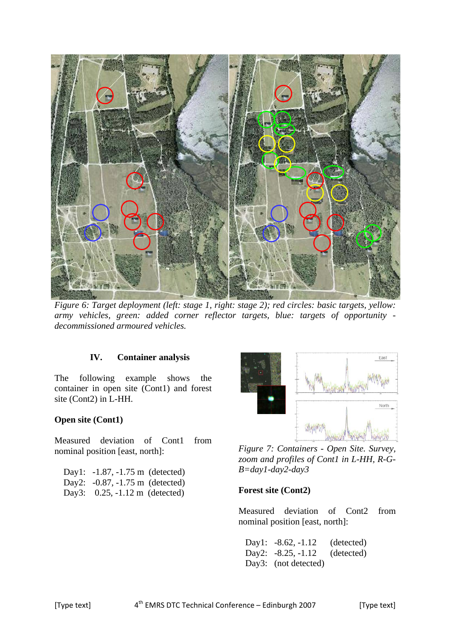

*Figure 6: Target deployment (left: stage 1, right: stage 2); red circles: basic targets, yellow: army vehicles, green: added corner reflector targets, blue: targets of opportunity decommissioned armoured vehicles.* 

#### **IV. Container analysis**

The following example shows the container in open site (Cont1) and forest site (Cont2) in L-HH.

#### **Open site (Cont1)**

Measured deviation of Cont1 from nominal position [east, north]:

| Day1: $-1.87, -1.75$ m (detected)        |
|------------------------------------------|
| Day2: $-0.87, -1.75$ m (detected)        |
| Day3: $0.25, -1.12 \text{ m}$ (detected) |



*Figure 7: Containers - Open Site. Survey, zoom and profiles of Cont1 in L-HH, R-G-B=day1-day2-day3* 

#### **Forest site (Cont2)**

Measured deviation of Cont2 from nominal position [east, north]:

Day1: -8.62, -1.12 (detected) Day2: -8.25, -1.12 (detected) Day3: (not detected)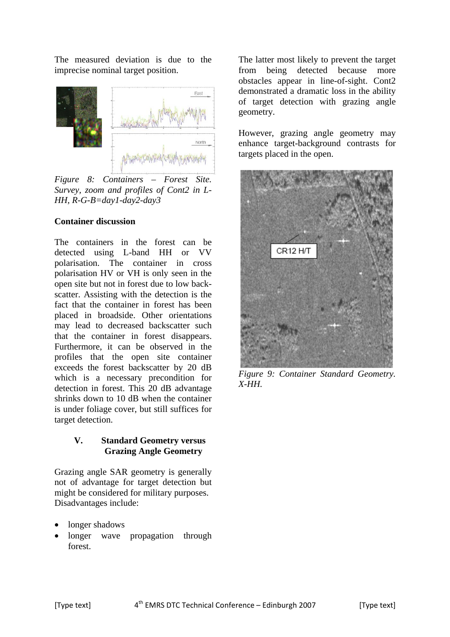The measured deviation is due to the imprecise nominal target position.



*Figure 8: Containers – Forest Site. Survey, zoom and profiles of Cont2 in L-HH, R-G-B=day1-day2-day3* 

### **Container discussion**

The containers in the forest can be detected using L-band HH or VV polarisation. The container in cross polarisation HV or VH is only seen in the open site but not in forest due to low backscatter. Assisting with the detection is the fact that the container in forest has been placed in broadside. Other orientations may lead to decreased backscatter such that the container in forest disappears. Furthermore, it can be observed in the profiles that the open site container exceeds the forest backscatter by 20 dB which is a necessary precondition for detection in forest. This 20 dB advantage shrinks down to 10 dB when the container is under foliage cover, but still suffices for target detection.

### **V. Standard Geometry versus Grazing Angle Geometry**

Grazing angle SAR geometry is generally not of advantage for target detection but might be considered for military purposes. Disadvantages include:

- longer shadows
- longer wave propagation through forest.

The latter most likely to prevent the target from being detected because more obstacles appear in line-of-sight. Cont2 demonstrated a dramatic loss in the ability of target detection with grazing angle geometry.

However, grazing angle geometry may enhance target-background contrasts for targets placed in the open.



*Figure 9: Container Standard Geometry. X-HH.*